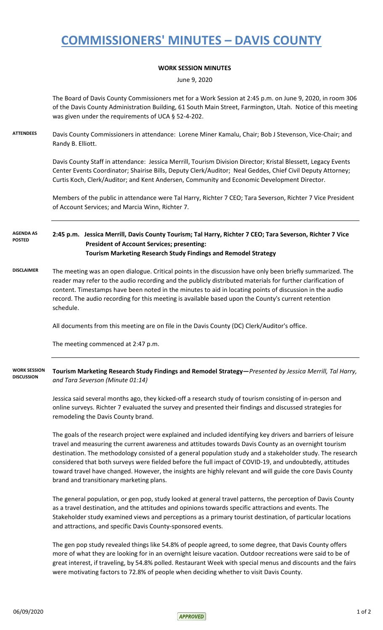## **COMMISSIONERS' MINUTES – DAVIS COUNTY**

### **WORK SESSION MINUTES**

June 9, 2020

The Board of Davis County Commissioners met for a Work Session at 2:45 p.m. on June 9, 2020, in room 306 of the Davis County Administration Building, 61 South Main Street, Farmington, Utah. Notice of this meeting was given under the requirements of UCA § 52-4-202.

**ATTENDEES** Davis County Commissioners in attendance: Lorene Miner Kamalu, Chair; Bob J Stevenson, Vice-Chair; and Randy B. Elliott.

> Davis County Staff in attendance: Jessica Merrill, Tourism Division Director; Kristal Blessett, Legacy Events Center Events Coordinator; Shairise Bills, Deputy Clerk/Auditor; Neal Geddes, Chief Civil Deputy Attorney; Curtis Koch, Clerk/Auditor; and Kent Andersen, Community and Economic Development Director.

Members of the public in attendance were Tal Harry, Richter 7 CEO; Tara Severson, Richter 7 Vice President of Account Services; and Marcia Winn, Richter 7.

### **2:45 p.m. Jessica Merrill, Davis County Tourism; Tal Harry, Richter 7 CEO; Tara Severson, Richter 7 Vice President of Account Services; presenting: Tourism Marketing Research Study Findings and Remodel Strategy AGENDA AS POSTED**

**DISCLAIMER** The meeting was an open dialogue. Critical points in the discussion have only been briefly summarized. The reader may refer to the audio recording and the publicly distributed materials for further clarification of content. Timestamps have been noted in the minutes to aid in locating points of discussion in the audio record. The audio recording for this meeting is available based upon the County's current retention schedule.

All documents from this meeting are on file in the Davis County (DC) Clerk/Auditor's office.

The meeting commenced at 2:47 p.m.

#### **Tourism Marketing Research Study Findings and Remodel Strategy—***Presented by Jessica Merrill, Tal Harry, and Tara Severson (Minute 01:14)* **WORK SESSION DISCUSSION**

Jessica said several months ago, they kicked-off a research study of tourism consisting of in-person and online surveys. Richter 7 evaluated the survey and presented their findings and discussed strategies for remodeling the Davis County brand.

The goals of the research project were explained and included identifying key drivers and barriers of leisure travel and measuring the current awareness and attitudes towards Davis County as an overnight tourism destination. The methodology consisted of a general population study and a stakeholder study. The research considered that both surveys were fielded before the full impact of COVID-19, and undoubtedly, attitudes toward travel have changed. However, the insights are highly relevant and will guide the core Davis County brand and transitionary marketing plans.

The general population, or gen pop, study looked at general travel patterns, the perception of Davis County as a travel destination, and the attitudes and opinions towards specific attractions and events. The Stakeholder study examined views and perceptions as a primary tourist destination, of particular locations and attractions, and specific Davis County-sponsored events.

The gen pop study revealed things like 54.8% of people agreed, to some degree, that Davis County offers more of what they are looking for in an overnight leisure vacation. Outdoor recreations were said to be of great interest, if traveling, by 54.8% polled. Restaurant Week with special menus and discounts and the fairs were motivating factors to 72.8% of people when deciding whether to visit Davis County.